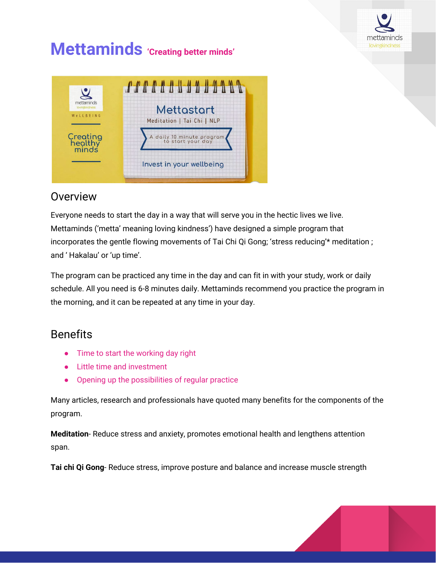

# **Mettaminds 'Creating better minds'**



# **Overview**

Everyone needs to start the day in a way that will serve you in the hectic lives we live. Mettaminds ('metta' meaning loving kindness') have designed a simple program that incorporates the gentle flowing movements of Tai Chi Qi Gong; 'stress reducing'\* meditation ; and ' Hakalau' or 'up time'.

The program can be practiced any time in the day and can fit in with your study, work or daily schedule. All you need is 6-8 minutes daily. Mettaminds recommend you practice the program in the morning, and it can be repeated at any time in your day.

# Benefits

- Time to start the working day right
- Little time and investment
- Opening up the possibilities of regular practice

Many articles, research and professionals have quoted many benefits for the components of the program.

**Meditation**- Reduce stress and anxiety, promotes emotional health and lengthens attention span.

**Tai chi Qi Gong**- Reduce stress, improve posture and balance and increase muscle strength